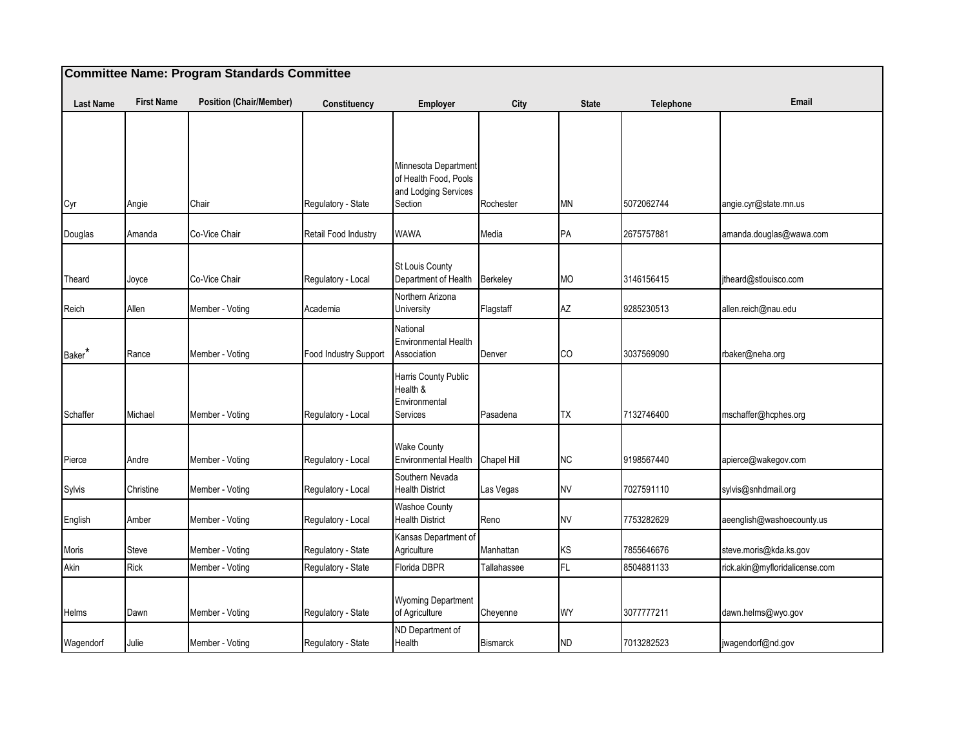| <b>Committee Name: Program Standards Committee</b> |                   |                                    |                                   |                                                                                  |                     |              |                          |                                        |  |
|----------------------------------------------------|-------------------|------------------------------------|-----------------------------------|----------------------------------------------------------------------------------|---------------------|--------------|--------------------------|----------------------------------------|--|
| <b>Last Name</b>                                   | <b>First Name</b> | <b>Position (Chair/Member)</b>     | Constituency                      | Employer                                                                         | City                | <b>State</b> | Telephone                | Email                                  |  |
| Cyr                                                | Angie             | Chair                              | Regulatory - State                | Minnesota Department<br>of Health Food, Pools<br>and Lodging Services<br>Section | Rochester           | MN           | 5072062744               | angie.cyr@state.mn.us                  |  |
| Douglas                                            | Amanda            | Co-Vice Chair                      | Retail Food Industry              | WAWA                                                                             | Media               | PA           | 2675757881               | amanda.douglas@wawa.com                |  |
| Theard                                             | Joyce             | Co-Vice Chair                      | Regulatory - Local                | St Louis County<br>Department of Health<br>Northern Arizona                      | Berkeley            | MO           | 3146156415<br>9285230513 | jtheard@stlouisco.com                  |  |
| Reich<br>Baker*                                    | Allen<br>Rance    | Member - Voting<br>Member - Voting | Academia<br>Food Industry Support | University<br>National<br><b>Environmental Health</b><br>Association             | Flagstaff<br>Denver | AΖ<br>CO     | 3037569090               | allen.reich@nau.edu<br>rbaker@neha.org |  |
| Schaffer                                           | Michael           | Member - Voting                    | Regulatory - Local                | Harris County Public<br>Health &<br>Environmental<br>Services                    | Pasadena            | TX           | 7132746400               | mschaffer@hcphes.org                   |  |
| Pierce                                             | Andre             | Member - Voting                    | Regulatory - Local                | <b>Wake County</b><br>Environmental Health Chapel Hill                           |                     | NC           | 9198567440               | apierce@wakegov.com                    |  |
| Sylvis                                             | Christine         | Member - Voting                    | Regulatory - Local                | Southern Nevada<br><b>Health District</b>                                        | Las Vegas           | <b>NV</b>    | 7027591110               | sylvis@snhdmail.org                    |  |
| English                                            | Amber             | Member - Voting                    | Regulatory - Local                | <b>Washoe County</b><br><b>Health District</b>                                   | Reno                | NV           | 7753282629               | aeenglish@washoecounty.us              |  |
| Moris                                              | Steve             | Member - Voting                    | Regulatory - State                | Kansas Department of<br>Agriculture                                              | Manhattan           | ΚS           | 7855646676               | steve.moris@kda.ks.gov                 |  |
| Akin                                               | <b>Rick</b>       | Member - Voting                    | Regulatory - State                | Florida DBPR                                                                     | Tallahassee         | FL.          | 8504881133               | rick.akin@myfloridalicense.com         |  |
| Helms                                              | Dawn              | Member - Voting                    | Regulatory - State                | Wyoming Department<br>of Agriculture                                             | Cheyenne            | WY           | 3077777211               | dawn.helms@wyo.gov                     |  |
| Wagendorf                                          | Julie             | Member - Voting                    | Regulatory - State                | ND Department of<br>Health                                                       | <b>Bismarck</b>     | ND           | 7013282523               | jwagendorf@nd.gov                      |  |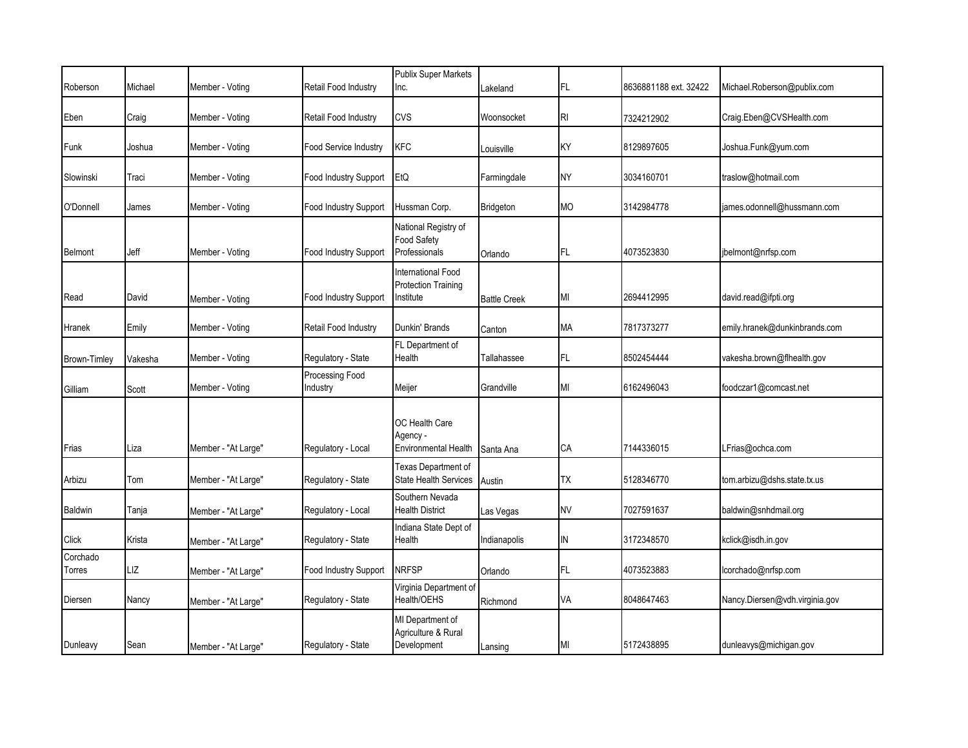|                    |         |                     |                             | <b>Publix Super Markets</b>                                   |                     |           |                       |                                |
|--------------------|---------|---------------------|-----------------------------|---------------------------------------------------------------|---------------------|-----------|-----------------------|--------------------------------|
| Roberson           | Michael | Member - Voting     | Retail Food Industry        | Inc.                                                          | Lakeland            | FL.       | 8636881188 ext. 32422 | Michael.Roberson@publix.com    |
| Eben               | Craig   | Member - Voting     | Retail Food Industry        | <b>CVS</b>                                                    | Woonsocket          | RI        | 7324212902            | Craig.Eben@CVSHealth.com       |
| Funk               | Joshua  | Member - Voting     | Food Service Industry       | <b>KFC</b>                                                    | Louisville          | KY        | 8129897605            | Joshua.Funk@yum.com            |
| Slowinski          | Traci   | Member - Voting     | Food Industry Support       | EtQ                                                           | Farmingdale         | NY.       | 3034160701            | traslow@hotmail.com            |
| O'Donnell          | James   | Member - Voting     | Food Industry Support       | Hussman Corp.                                                 | <b>Bridgeton</b>    | <b>MO</b> | 3142984778            | james.odonnell@hussmann.com    |
| <b>Belmont</b>     | Jeff    | Member - Voting     | Food Industry Support       | National Registry of<br><b>Food Safety</b><br>Professionals   | Orlando             | FL        | 4073523830            | jbelmont@nrfsp.com             |
| Read               | David   | Member - Voting     | Food Industry Support       | International Food<br><b>Protection Training</b><br>Institute | <b>Battle Creek</b> | ΜI        | 2694412995            | david.read@ifpti.org           |
| Hranek             | Emily   | Member - Voting     | Retail Food Industry        | Dunkin' Brands                                                | Canton              | МA        | 7817373277            | emily.hranek@dunkinbrands.com  |
| Brown-Timley       | Vakesha | Member - Voting     | Regulatory - State          | FL Department of<br>Health                                    | Tallahassee         | FL        | 8502454444            | vakesha.brown@flhealth.gov     |
| Gilliam            | Scott   | Member - Voting     | Processing Food<br>Industry | Meijer                                                        | Grandville          | MI        | 6162496043            | foodczar1@comcast.net          |
| Frias              | Liza    | Member - "At Large" | Regulatory - Local          | OC Health Care<br>Agency -<br><b>Environmental Health</b>     | Santa Ana           | СA        | 7144336015            | LFrias@ochca.com               |
| Arbizu             | Tom     | Member - "At Large" | Regulatory - State          | Texas Department of<br><b>State Health Services</b>           | Austin              | ТX        | 5128346770            | tom.arbizu@dshs.state.tx.us    |
| <b>Baldwin</b>     | Tanja   | Member - "At Large" | Regulatory - Local          | Southern Nevada<br><b>Health District</b>                     | Las Vegas           | NV        | 7027591637            | baldwin@snhdmail.org           |
| Click              | Krista  | Member - "At Large" | Regulatory - State          | Indiana State Dept of<br>Health                               | Indianapolis        | IN        | 3172348570            | kclick@isdh.in.gov             |
| Corchado<br>Torres | LIZ     | Member - "At Large" | Food Industry Support       | <b>NRFSP</b>                                                  | Orlando             | FL        | 4073523883            | lcorchado@nrfsp.com            |
| Diersen            | Nancy   | Member - "At Large" | Regulatory - State          | Virginia Department of<br>Health/OEHS                         | Richmond            | VA        | 8048647463            | Nancy.Diersen@vdh.virginia.gov |
| Dunleavy           | Sean    | Member - "At Large" | Regulatory - State          | MI Department of<br>Agriculture & Rural<br>Development        | Lansing             | MI        | 5172438895            | dunleavys@michigan.gov         |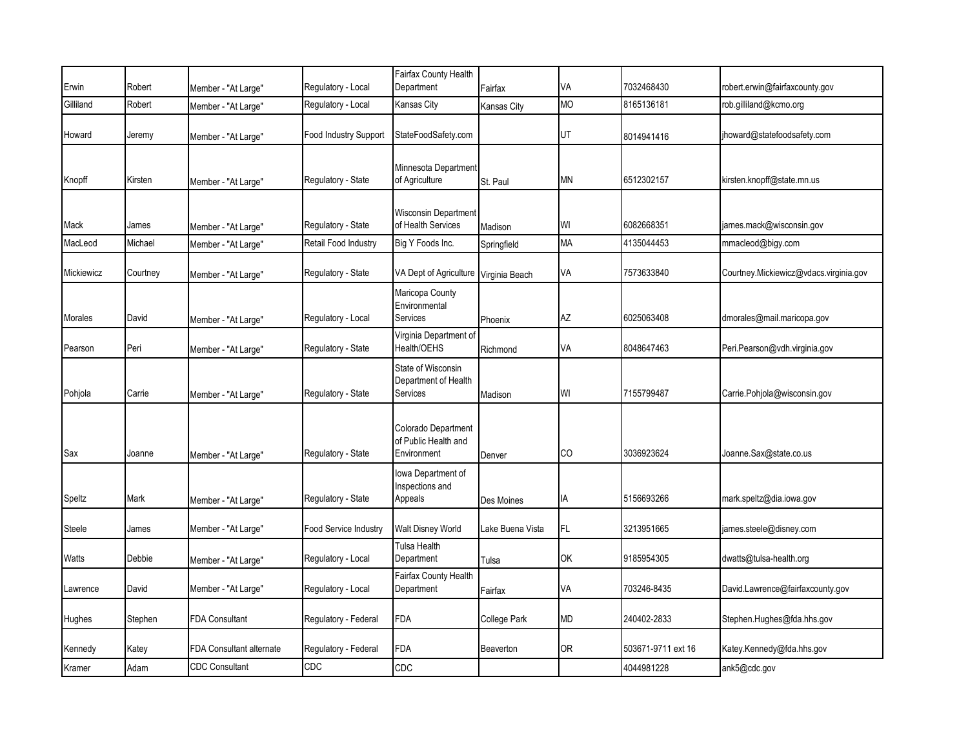| Erwin      | Robert   | Member - "At Large"      | Regulatory - Local           | Fairfax County Health<br>Department                        | Fairfax          | VA        | 7032468430         | robert.erwin@fairfaxcounty.gov         |
|------------|----------|--------------------------|------------------------------|------------------------------------------------------------|------------------|-----------|--------------------|----------------------------------------|
| Gilliland  | Robert   | Member - "At Large"      | Regulatory - Local           | Kansas City                                                | Kansas City      | MO        | 8165136181         | rob.gilliland@kcmo.org                 |
| Howard     | Jeremy   | Member - "At Large"      | <b>Food Industry Support</b> | StateFoodSafety.com                                        |                  | UT        | 8014941416         | ihoward@statefoodsafety.com            |
| Knopff     | Kirsten  | Member - "At Large"      | Regulatory - State           | Minnesota Department<br>of Agriculture                     | St. Paul         | <b>MN</b> | 6512302157         | kirsten.knopff@state.mn.us             |
| Mack       | James    | Member - "At Large"      | Regulatory - State           | Wisconsin Department<br>of Health Services                 | Madison          | WI        | 6082668351         | james.mack@wisconsin.gov               |
| MacLeod    | Michael  | Member - "At Large"      | Retail Food Industry         | Big Y Foods Inc.                                           | Springfield      | MA        | 4135044453         | mmacleod@bigy.com                      |
| Mickiewicz | Courtney | Member - "At Large"      | Regulatory - State           | VA Dept of Agriculture Virginia Beach                      |                  | VA        | 7573633840         | Courtney.Mickiewicz@vdacs.virginia.gov |
| Morales    | David    | Member - "At Large"      | Regulatory - Local           | Maricopa County<br>Environmental<br><b>Services</b>        | Phoenix          | <b>AZ</b> | 6025063408         | dmorales@mail.maricopa.gov             |
| Pearson    | Peri     | Member - "At Large"      | Regulatory - State           | Virginia Department of<br>Health/OEHS                      | Richmond         | VA        | 8048647463         | Peri.Pearson@vdh.virginia.gov          |
| Pohjola    | Carrie   | Member - "At Large"      | Regulatory - State           | State of Wisconsin<br>Department of Health<br>Services     | Madison          | WI        | 7155799487         | Carrie.Pohjola@wisconsin.gov           |
| Sax        | Joanne   | Member - "At Large"      | Regulatory - State           | Colorado Department<br>of Public Health and<br>Environment | Denver           | CO        | 3036923624         | Joanne.Sax@state.co.us                 |
| Speltz     | Mark     | Member - "At Large"      | Regulatory - State           | lowa Department of<br>Inspections and<br>Appeals           | Des Moines       | IA        | 5156693266         | mark.speltz@dia.iowa.gov               |
| Steele     | James    | Member - "At Large"      | Food Service Industry        | Walt Disney World                                          | Lake Buena Vista | FL.       | 3213951665         | james.steele@disney.com                |
| Watts      | Debbie   | Member - "At Large"      | Regulatory - Local           | Tulsa Health<br>Department                                 | Tulsa            | OK        | 9185954305         | dwatts@tulsa-health.org                |
| Lawrence   | David    | Member - "At Large"      | Regulatory - Local           | Fairfax County Health<br>Department                        | Fairfax          | VA        | 703246-8435        | David.Lawrence@fairfaxcounty.gov       |
| Hughes     | Stephen  | <b>FDA Consultant</b>    | Regulatory - Federal         | FDA                                                        | College Park     | MD        | 240402-2833        | Stephen.Hughes@fda.hhs.gov             |
| Kennedy    | Katey    | FDA Consultant alternate | Regulatory - Federal         | FDA                                                        | Beaverton        | 0R        | 503671-9711 ext 16 | Katey.Kennedy@fda.hhs.gov              |
| Kramer     | Adam     | <b>CDC Consultant</b>    | CDC                          | CDC                                                        |                  |           | 4044981228         | ank5@cdc.gov                           |